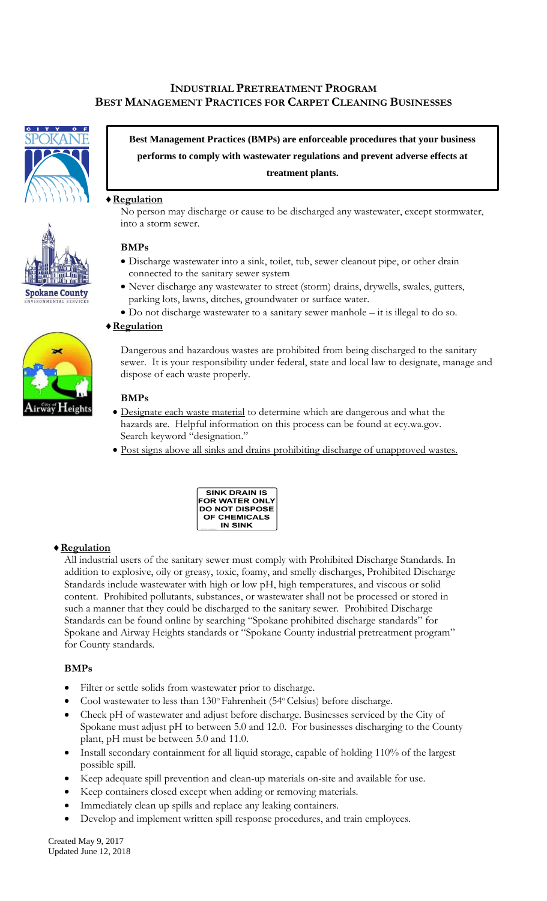# **INDUSTRIAL PRETREATMENT PROGRAM BEST MANAGEMENT PRACTICES FOR CARPET CLEANING BUSINESSES**





**Best Management Practices (BMPs) are enforceable procedures that your business performs to comply with wastewater regulations and prevent adverse effects at treatment plants.**

### **Regulation**

No person may discharge or cause to be discharged any wastewater, except stormwater, into a storm sewer.

#### **BMPs**

- Discharge wastewater into a sink, toilet, tub, sewer cleanout pipe, or other drain connected to the sanitary sewer system
- Never discharge any wastewater to street (storm) drains, drywells, swales, gutters, parking lots, lawns, ditches, groundwater or surface water.
- Do not discharge wastewater to a sanitary sewer manhole it is illegal to do so.

#### **Regulation**

Dangerous and hazardous wastes are prohibited from being discharged to the sanitary sewer. It is your responsibility under federal, state and local law to designate, manage and dispose of each waste properly.

#### **BMPs**

- Designate each waste material to determine which are dangerous and what the hazards are. Helpful information on this process can be found at ecy.wa.gov. Search keyword "designation."
- Post signs above all sinks and drains prohibiting discharge of unapproved wastes.



#### **Regulation**

All industrial users of the sanitary sewer must comply with Prohibited Discharge Standards. In addition to explosive, oily or greasy, toxic, foamy, and smelly discharges, Prohibited Discharge Standards include wastewater with high or low pH, high temperatures, and viscous or solid content. Prohibited pollutants, substances, or wastewater shall not be processed or stored in such a manner that they could be discharged to the sanitary sewer. Prohibited Discharge Standards can be found online by searching "Spokane prohibited discharge standards" for Spokane and Airway Heights standards or "Spokane County industrial pretreatment program" for County standards.

#### **BMPs**

- Filter or settle solids from wastewater prior to discharge.
- Cool wastewater to less than 130° Fahrenheit (54° Celsius) before discharge.
- Check pH of wastewater and adjust before discharge. Businesses serviced by the City of Spokane must adjust pH to between 5.0 and 12.0. For businesses discharging to the County plant, pH must be between 5.0 and 11.0.
- Install secondary containment for all liquid storage, capable of holding 110% of the largest possible spill.
- Keep adequate spill prevention and clean-up materials on-site and available for use.
- Keep containers closed except when adding or removing materials.
- Immediately clean up spills and replace any leaking containers.
- Develop and implement written spill response procedures, and train employees.

Created May 9, 2017 Updated June 12, 2018